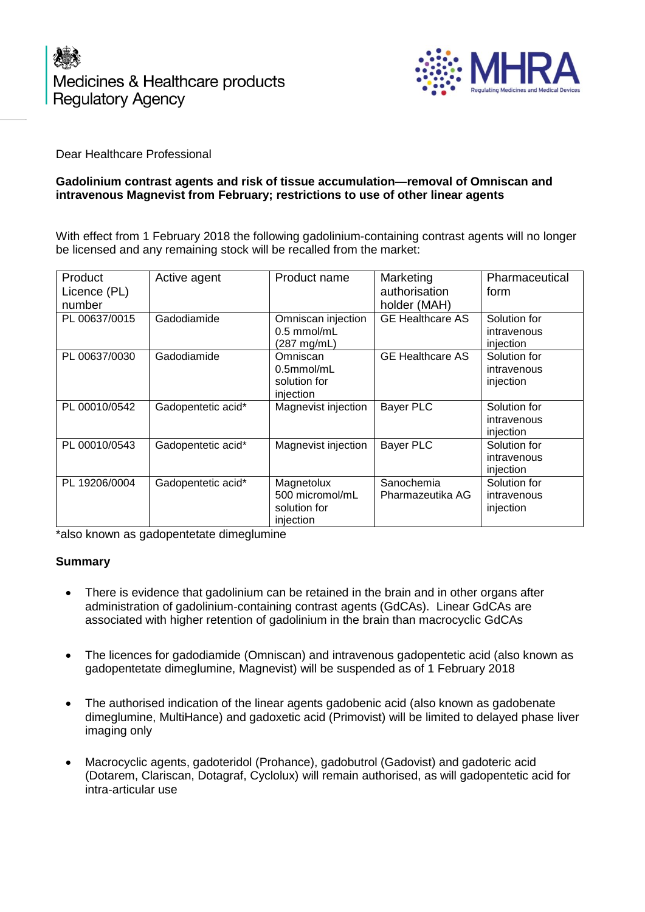



Dear Healthcare Professional

## **Gadolinium contrast agents and risk of tissue accumulation—removal of Omniscan and intravenous Magnevist from February; restrictions to use of other linear agents**

With effect from 1 February 2018 the following gadolinium-containing contrast agents will no longer be licensed and any remaining stock will be recalled from the market:

| Product<br>Licence (PL)<br>number | Active agent       | Product name                                               | Marketing<br>authorisation<br>holder (MAH) | Pharmaceutical<br>form                   |
|-----------------------------------|--------------------|------------------------------------------------------------|--------------------------------------------|------------------------------------------|
| PL 00637/0015                     | Gadodiamide        | Omniscan injection<br>$0.5$ mmol/mL<br>(287 mg/mL)         | <b>GE Healthcare AS</b>                    | Solution for<br>intravenous<br>injection |
| PL 00637/0030                     | Gadodiamide        | Omniscan<br>$0.5$ mmol/mL<br>solution for<br>injection     | <b>GE Healthcare AS</b>                    | Solution for<br>intravenous<br>injection |
| PL 00010/0542                     | Gadopentetic acid* | Magnevist injection                                        | <b>Bayer PLC</b>                           | Solution for<br>intravenous<br>injection |
| PL 00010/0543                     | Gadopentetic acid* | Magnevist injection                                        | <b>Bayer PLC</b>                           | Solution for<br>intravenous<br>injection |
| PL 19206/0004                     | Gadopentetic acid* | Magnetolux<br>500 micromol/mL<br>solution for<br>injection | Sanochemia<br>Pharmazeutika AG             | Solution for<br>intravenous<br>injection |

\*also known as gadopentetate dimeglumine

## **Summary**

- There is evidence that gadolinium can be retained in the brain and in other organs after administration of gadolinium-containing contrast agents (GdCAs). Linear GdCAs are associated with higher retention of gadolinium in the brain than macrocyclic GdCAs
- The licences for gadodiamide (Omniscan) and intravenous gadopentetic acid (also known as gadopentetate dimeglumine, Magnevist) will be suspended as of 1 February 2018
- The authorised indication of the linear agents gadobenic acid (also known as gadobenate dimeglumine, MultiHance) and gadoxetic acid (Primovist) will be limited to delayed phase liver imaging only
- Macrocyclic agents, gadoteridol (Prohance), gadobutrol (Gadovist) and gadoteric acid (Dotarem, Clariscan, Dotagraf, Cyclolux) will remain authorised, as will gadopentetic acid for intra-articular use